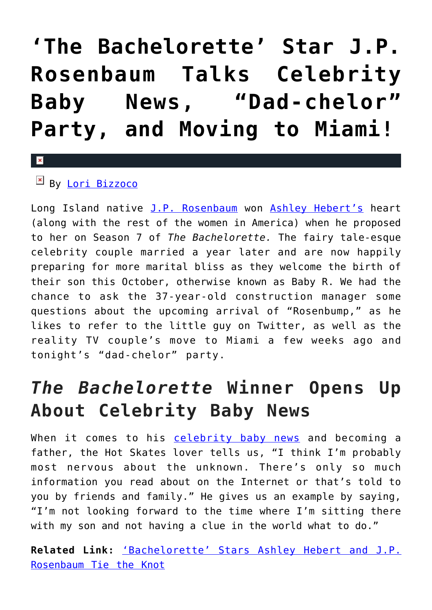## **['The Bachelorette' Star J.P.](https://cupidspulse.com/78959/bachelorette-j-p-rosenbaum-ashley-hebert-talks-baby-r/) [Rosenbaum Talks Celebrity](https://cupidspulse.com/78959/bachelorette-j-p-rosenbaum-ashley-hebert-talks-baby-r/) [Baby News, "Dad-chelor"](https://cupidspulse.com/78959/bachelorette-j-p-rosenbaum-ashley-hebert-talks-baby-r/) [Party, and Moving to Miami!](https://cupidspulse.com/78959/bachelorette-j-p-rosenbaum-ashley-hebert-talks-baby-r/)**

## $\mathbf{x}$

By [Lori Bizzoco](http://cupidspulse.com/104596/lori-bizzoco/)

Long Island native [J.P. Rosenbaum](http://cupidspulse.com/90921/j-p-rosenbaum/) won [Ashley Hebert's](http://cupidspulse.com/90923/ashley-hebert/) heart (along with the rest of the women in America) when he proposed to her on Season 7 of *The Bachelorette.* The fairy tale-esque celebrity couple married a year later and are now happily preparing for more marital bliss as they welcome the birth of their son this October, otherwise known as Baby R. We had the chance to ask the 37-year-old construction manager some questions about the upcoming arrival of "Rosenbump," as he likes to refer to the little guy on Twitter, as well as the reality TV couple's move to Miami a few weeks ago and tonight's "dad-chelor" party.

## *The Bachelorette* **Winner Opens Up About Celebrity Baby News**

When it comes to his [celebrity baby news](http://cupidspulse.com/celebrity-relationships/celebrity-babies/) and becoming a father, the Hot Skates lover tells us, "I think I'm probably most nervous about the unknown. There's only so much information you read about on the Internet or that's told to you by friends and family." He gives us an example by saying, "I'm not looking forward to the time where I'm sitting there with my son and not having a clue in the world what to do."

**Related Link:** ['Bachelorette' Stars Ashley Hebert and J.P.](http://cupidspulse.com/bachelorette-stars-jp-rosenbaum-ashley-hebert-marriage/) [Rosenbaum Tie the Knot](http://cupidspulse.com/bachelorette-stars-jp-rosenbaum-ashley-hebert-marriage/)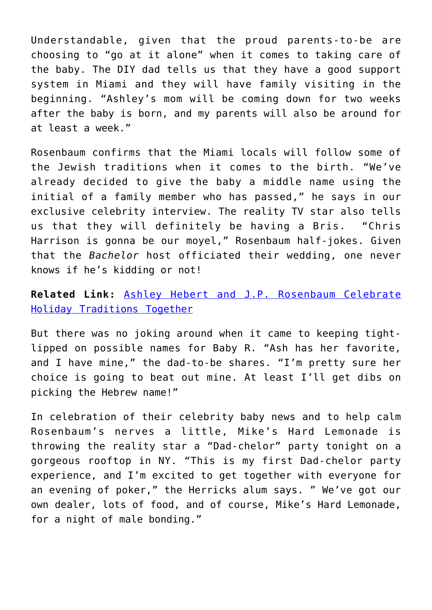Understandable, given that the proud parents-to-be are choosing to "go at it alone" when it comes to taking care of the baby. The DIY dad tells us that they have a good support system in Miami and they will have family visiting in the beginning. "Ashley's mom will be coming down for two weeks after the baby is born, and my parents will also be around for at least a week."

Rosenbaum confirms that the Miami locals will follow some of the Jewish traditions when it comes to the birth. "We've already decided to give the baby a middle name using the initial of a family member who has passed," he says in our exclusive celebrity interview. The reality TV star also tells us that they will definitely be having a Bris. "Chris Harrison is gonna be our moyel," Rosenbaum half-jokes. Given that the *Bachelor* host officiated their wedding, one never knows if he's kidding or not!

**Related Link:** [Ashley Hebert and J.P. Rosenbaum Celebrate](http://cupidspulse.com/ashley-hebert-and-jp-rosenbaum-celebrate-holiday-traditions-with-christmas-and-hanukkah/) [Holiday Traditions Together](http://cupidspulse.com/ashley-hebert-and-jp-rosenbaum-celebrate-holiday-traditions-with-christmas-and-hanukkah/)

But there was no joking around when it came to keeping tightlipped on possible names for Baby R. "Ash has her favorite, and I have mine," the dad-to-be shares. "I'm pretty sure her choice is going to beat out mine. At least I'll get dibs on picking the Hebrew name!"

In celebration of their celebrity baby news and to help calm Rosenbaum's nerves a little, Mike's Hard Lemonade is throwing the reality star a "Dad-chelor" party tonight on a gorgeous rooftop in NY. "This is my first Dad-chelor party experience, and I'm excited to get together with everyone for an evening of poker," the Herricks alum says. " We've got our own dealer, lots of food, and of course, Mike's Hard Lemonade, for a night of male bonding."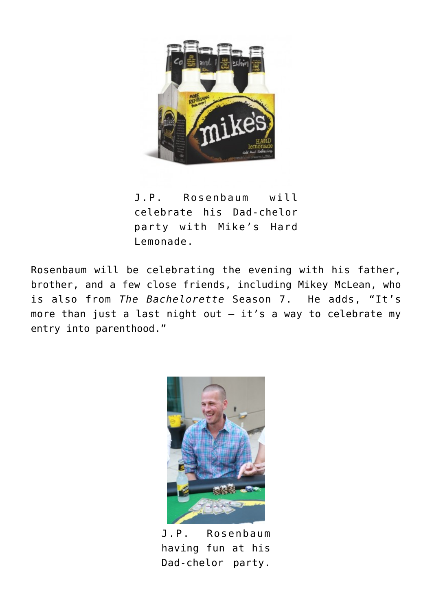

J.P. Rosenbaum will celebrate his Dad-chelor party with Mike's Hard Lemonade.

Rosenbaum will be celebrating the evening with his father, brother, and a few close friends, including Mikey McLean, who is also from *The Bachelorette* Season 7. He adds, "It's more than just a last night out  $-$  it's a way to celebrate my entry into parenthood."



J.P. Rosenbaum having fun at his Dad-chelor party.